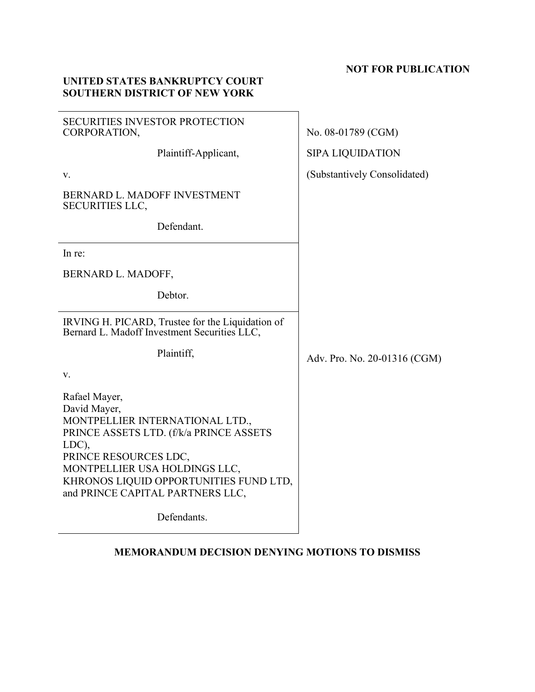# **NOT FOR PUBLICATION**

# **UNITED STATES BANKRUPTCY COURT SOUTHERN DISTRICT OF NEW YORK**

| <b>SECURITIES INVESTOR PROTECTION</b><br>CORPORATION,                                                                                                                                                                                                        | No. 08-01789 (CGM)           |
|--------------------------------------------------------------------------------------------------------------------------------------------------------------------------------------------------------------------------------------------------------------|------------------------------|
| Plaintiff-Applicant,                                                                                                                                                                                                                                         | <b>SIPA LIQUIDATION</b>      |
| V.                                                                                                                                                                                                                                                           | (Substantively Consolidated) |
| BERNARD L. MADOFF INVESTMENT<br><b>SECURITIES LLC,</b>                                                                                                                                                                                                       |                              |
| Defendant.                                                                                                                                                                                                                                                   |                              |
| In re:                                                                                                                                                                                                                                                       |                              |
| BERNARD L. MADOFF,                                                                                                                                                                                                                                           |                              |
| Debtor.                                                                                                                                                                                                                                                      |                              |
| IRVING H. PICARD, Trustee for the Liquidation of<br>Bernard L. Madoff Investment Securities LLC,                                                                                                                                                             |                              |
| Plaintiff,                                                                                                                                                                                                                                                   | Adv. Pro. No. 20-01316 (CGM) |
| V.                                                                                                                                                                                                                                                           |                              |
| Rafael Mayer,<br>David Mayer,<br>MONTPELLIER INTERNATIONAL LTD.,<br>PRINCE ASSETS LTD. (f/k/a PRINCE ASSETS<br>LDC),<br>PRINCE RESOURCES LDC,<br>MONTPELLIER USA HOLDINGS LLC,<br>KHRONOS LIQUID OPPORTUNITIES FUND LTD,<br>and PRINCE CAPITAL PARTNERS LLC, |                              |
| Defendants.                                                                                                                                                                                                                                                  |                              |

# **MEMORANDUM DECISION DENYING MOTIONS TO DISMISS**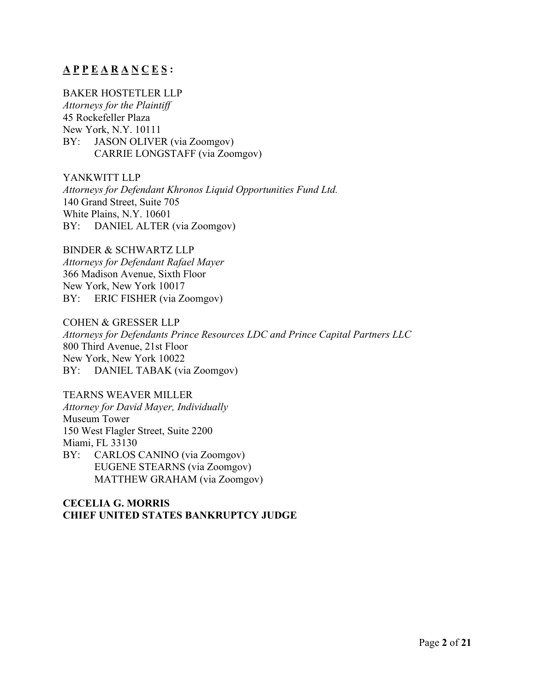# **A P P E A R A N C E S :**

## BAKER HOSTETLER LLP

*Attorneys for the Plaintiff* 45 Rockefeller Plaza New York, N.Y. 10111 BY: JASON OLIVER (via Zoomgov) CARRIE LONGSTAFF (via Zoomgov)

YANKWITT LLP *Attorneys for Defendant Khronos Liquid Opportunities Fund Ltd.* 140 Grand Street, Suite 705 White Plains, N.Y. 10601 BY: DANIEL ALTER (via Zoomgov)

BINDER & SCHWARTZ LLP *Attorneys for Defendant Rafael Mayer* 366 Madison Avenue, Sixth Floor New York, New York 10017 BY: ERIC FISHER (via Zoomgov)

COHEN & GRESSER LLP *Attorneys for Defendants Prince Resources LDC and Prince Capital Partners LLC* 800 Third Avenue, 21st Floor New York, New York 10022 BY: DANIEL TABAK (via Zoomgov)

TEARNS WEAVER MILLER *Attorney for David Mayer, Individually* Museum Tower 150 West Flagler Street, Suite 2200 Miami, FL 33130 BY: CARLOS CANINO (via Zoomgov) EUGENE STEARNS (via Zoomgov)

MATTHEW GRAHAM (via Zoomgov)

## **CECELIA G. MORRIS CHIEF UNITED STATES BANKRUPTCY JUDGE**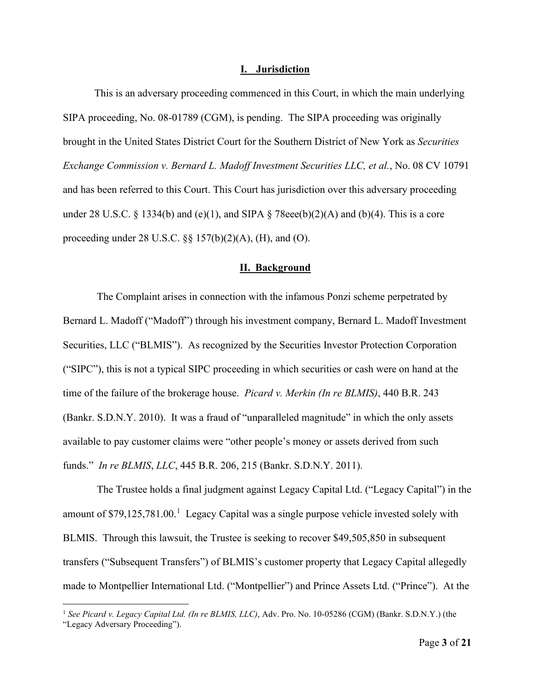#### **I. Jurisdiction**

This is an adversary proceeding commenced in this Court, in which the main underlying SIPA proceeding, No. 08-01789 (CGM), is pending. The SIPA proceeding was originally brought in the United States District Court for the Southern District of New York as *Securities Exchange Commission v. Bernard L. Madoff Investment Securities LLC, et al.*, No. 08 CV 10791 and has been referred to this Court. This Court has jurisdiction over this adversary proceeding under 28 U.S.C. § 1334(b) and (e)(1), and SIPA § 78eee(b)(2)(A) and (b)(4). This is a core proceeding under 28 U.S.C.  $\S$  157(b)(2)(A), (H), and (O).

#### **II. Background**

The Complaint arises in connection with the infamous Ponzi scheme perpetrated by Bernard L. Madoff ("Madoff") through his investment company, Bernard L. Madoff Investment Securities, LLC ("BLMIS"). As recognized by the Securities Investor Protection Corporation ("SIPC"), this is not a typical SIPC proceeding in which securities or cash were on hand at the time of the failure of the brokerage house. *Picard v. Merkin (In re BLMIS)*, 440 B.R. 243 (Bankr. S.D.N.Y. 2010). It was a fraud of "unparalleled magnitude" in which the only assets available to pay customer claims were "other people's money or assets derived from such funds." *In re BLMIS*, *LLC*, 445 B.R. 206, 215 (Bankr. S.D.N.Y. 2011).

The Trustee holds a final judgment against Legacy Capital Ltd. ("Legacy Capital") in the amount of  $$79,125,781.00$  $$79,125,781.00$  $$79,125,781.00$ .<sup>1</sup> Legacy Capital was a single purpose vehicle invested solely with BLMIS. Through this lawsuit, the Trustee is seeking to recover \$49,505,850 in subsequent transfers ("Subsequent Transfers") of BLMIS's customer property that Legacy Capital allegedly made to Montpellier International Ltd. ("Montpellier") and Prince Assets Ltd. ("Prince"). At the

<span id="page-2-0"></span><sup>1</sup> *See Picard v. Legacy Capital Ltd. (In re BLMIS, LLC)*, Adv. Pro. No. 10-05286 (CGM) (Bankr. S.D.N.Y.) (the "Legacy Adversary Proceeding").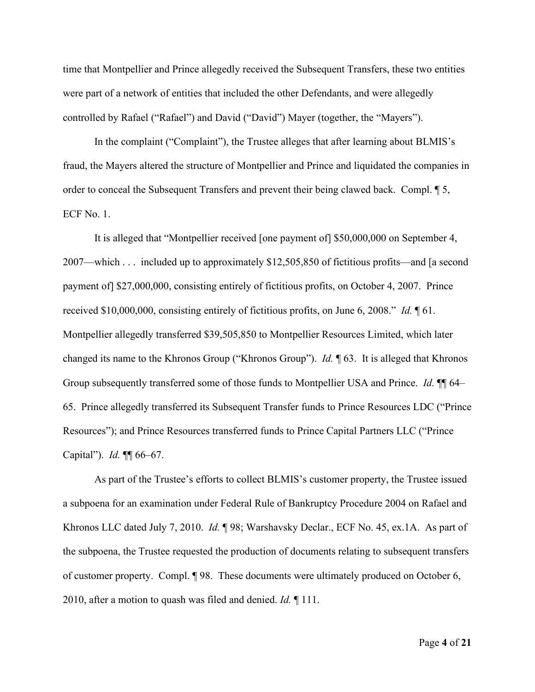time that Montpellier and Prince allegedly received the Subsequent Transfers, these two entities were part of a network of entities that included the other Defendants, and were allegedly controlled by Rafael ("Rafael") and David ("David") Mayer (together, the "Mayers").

In the complaint ("Complaint"), the Trustee alleges that after learning about BLMIS's fraud, the Mayers altered the structure of Montpellier and Prince and liquidated the companies in order to conceal the Subsequent Transfers and prevent their being clawed back. Compl. 15, ECF No. 1.

It is alleged that "Montpellier received [one payment of] \$50,000,000 on September 4, 2007—which . . . included up to approximately \$12,505,850 of fictitious profits—and [a second payment of] \$27,000,000, consisting entirely of fictitious profits, on October 4, 2007. Prince received \$10,000,000, consisting entirely of fictitious profits, on June 6, 2008." *Id.* ¶ 61. Montpellier allegedly transferred \$39,505,850 to Montpellier Resources Limited, which later changed its name to the Khronos Group ("Khronos Group"). *Id.* ¶ 63. It is alleged that Khronos Group subsequently transferred some of those funds to Montpellier USA and Prince. *Id.* ¶¶ 64– 65. Prince allegedly transferred its Subsequent Transfer funds to Prince Resources LDC ("Prince Resources"); and Prince Resources transferred funds to Prince Capital Partners LLC ("Prince Capital"). *Id.* ¶¶ 66–67.

As part of the Trustee's efforts to collect BLMIS's customer property, the Trustee issued a subpoena for an examination under Federal Rule of Bankruptcy Procedure 2004 on Rafael and Khronos LLC dated July 7, 2010. *Id.* ¶ 98; Warshavsky Declar., ECF No. 45, ex.1A. As part of the subpoena, the Trustee requested the production of documents relating to subsequent transfers of customer property. Compl. ¶ 98. These documents were ultimately produced on October 6, 2010, after a motion to quash was filed and denied. *Id.* ¶ 111.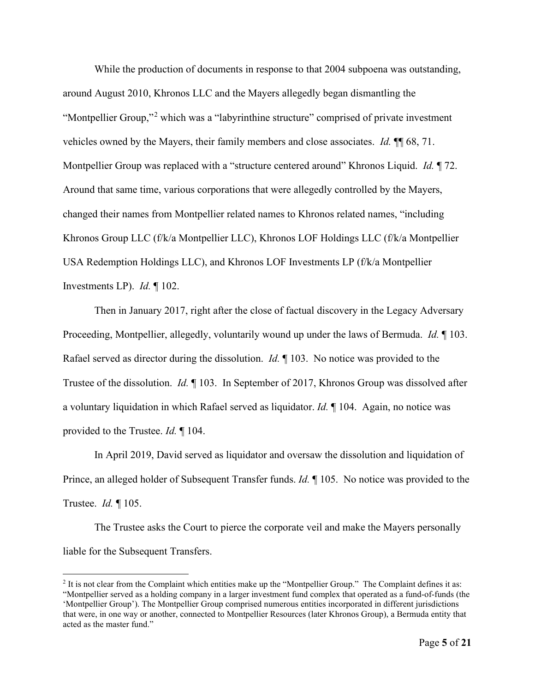While the production of documents in response to that 2004 subpoena was outstanding, around August 2010, Khronos LLC and the Mayers allegedly began dismantling the "Montpellier Group,"[2](#page-4-0) which was a "labyrinthine structure" comprised of private investment vehicles owned by the Mayers, their family members and close associates. *Id.* ¶¶ 68, 71. Montpellier Group was replaced with a "structure centered around" Khronos Liquid. *Id.* ¶ 72. Around that same time, various corporations that were allegedly controlled by the Mayers, changed their names from Montpellier related names to Khronos related names, "including Khronos Group LLC (f/k/a Montpellier LLC), Khronos LOF Holdings LLC (f/k/a Montpellier USA Redemption Holdings LLC), and Khronos LOF Investments LP (f/k/a Montpellier Investments LP). *Id.* ¶ 102.

Then in January 2017, right after the close of factual discovery in the Legacy Adversary Proceeding, Montpellier, allegedly, voluntarily wound up under the laws of Bermuda. *Id.* ¶ 103. Rafael served as director during the dissolution. *Id.* ¶ 103. No notice was provided to the Trustee of the dissolution. *Id.* ¶ 103. In September of 2017, Khronos Group was dissolved after a voluntary liquidation in which Rafael served as liquidator. *Id.* ¶ 104. Again, no notice was provided to the Trustee. *Id.* ¶ 104.

In April 2019, David served as liquidator and oversaw the dissolution and liquidation of Prince, an alleged holder of Subsequent Transfer funds. *Id.* ¶ 105. No notice was provided to the Trustee. *Id.* ¶ 105.

The Trustee asks the Court to pierce the corporate veil and make the Mayers personally liable for the Subsequent Transfers.

<span id="page-4-0"></span> $2$  It is not clear from the Complaint which entities make up the "Montpellier Group." The Complaint defines it as: "Montpellier served as a holding company in a larger investment fund complex that operated as a fund-of-funds (the 'Montpellier Group'). The Montpellier Group comprised numerous entities incorporated in different jurisdictions that were, in one way or another, connected to Montpellier Resources (later Khronos Group), a Bermuda entity that acted as the master fund."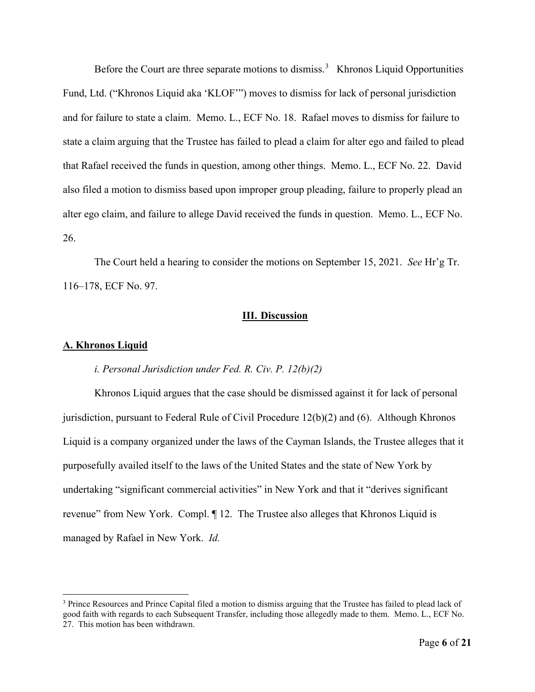Before the Court are three separate motions to dismiss.<sup>[3](#page-5-0)</sup> Khronos Liquid Opportunities Fund, Ltd. ("Khronos Liquid aka 'KLOF'") moves to dismiss for lack of personal jurisdiction and for failure to state a claim. Memo. L., ECF No. 18. Rafael moves to dismiss for failure to state a claim arguing that the Trustee has failed to plead a claim for alter ego and failed to plead that Rafael received the funds in question, among other things. Memo. L., ECF No. 22. David also filed a motion to dismiss based upon improper group pleading, failure to properly plead an alter ego claim, and failure to allege David received the funds in question. Memo. L., ECF No. 26.

The Court held a hearing to consider the motions on September 15, 2021. *See* Hr'g Tr. 116–178, ECF No. 97.

#### **III. Discussion**

### **A. Khronos Liquid**

#### *i. Personal Jurisdiction under Fed. R. Civ. P. 12(b)(2)*

Khronos Liquid argues that the case should be dismissed against it for lack of personal jurisdiction, pursuant to Federal Rule of Civil Procedure 12(b)(2) and (6). Although Khronos Liquid is a company organized under the laws of the Cayman Islands, the Trustee alleges that it purposefully availed itself to the laws of the United States and the state of New York by undertaking "significant commercial activities" in New York and that it "derives significant revenue" from New York. Compl. ¶ 12. The Trustee also alleges that Khronos Liquid is managed by Rafael in New York. *Id.*

<span id="page-5-0"></span><sup>&</sup>lt;sup>3</sup> Prince Resources and Prince Capital filed a motion to dismiss arguing that the Trustee has failed to plead lack of good faith with regards to each Subsequent Transfer, including those allegedly made to them. Memo. L., ECF No. 27. This motion has been withdrawn.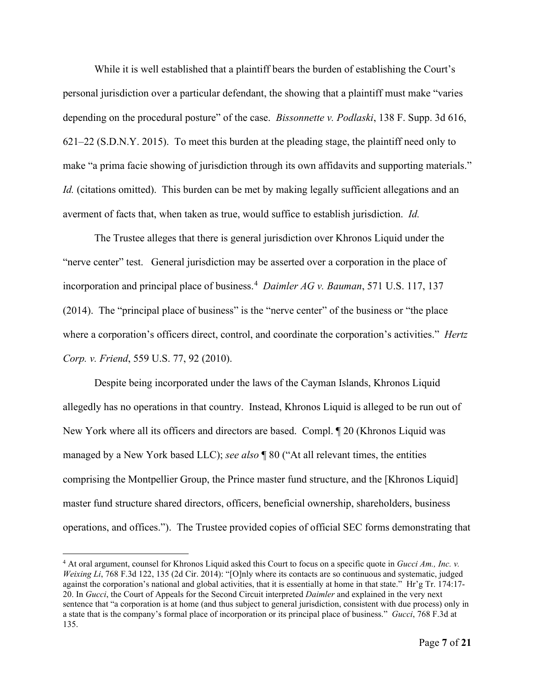While it is well established that a plaintiff bears the burden of establishing the Court's personal jurisdiction over a particular defendant, the showing that a plaintiff must make "varies depending on the procedural posture" of the case. *Bissonnette v. Podlaski*, 138 F. Supp. 3d 616, 621–22 (S.D.N.Y. 2015). To meet this burden at the pleading stage, the plaintiff need only to make "a prima facie showing of jurisdiction through its own affidavits and supporting materials." *Id.* (citations omitted). This burden can be met by making legally sufficient allegations and an averment of facts that, when taken as true, would suffice to establish jurisdiction. *Id.*

The Trustee alleges that there is general jurisdiction over Khronos Liquid under the "nerve center" test. General jurisdiction may be asserted over a corporation in the place of incorporation and principal place of business. [4](#page-6-0) *Daimler AG v. Bauman*, 571 U.S. 117, 137 (2014). The "principal place of business" is the "nerve center" of the business or "the place where a corporation's officers direct, control, and coordinate the corporation's activities." *Hertz Corp. v. Friend*, 559 U.S. 77, 92 (2010).

Despite being incorporated under the laws of the Cayman Islands, Khronos Liquid allegedly has no operations in that country. Instead, Khronos Liquid is alleged to be run out of New York where all its officers and directors are based. Compl. ¶ 20 (Khronos Liquid was managed by a New York based LLC); *see also* ¶ 80 ("At all relevant times, the entities comprising the Montpellier Group, the Prince master fund structure, and the [Khronos Liquid] master fund structure shared directors, officers, beneficial ownership, shareholders, business operations, and offices."). The Trustee provided copies of official SEC forms demonstrating that

<span id="page-6-0"></span><sup>4</sup> At oral argument, counsel for Khronos Liquid asked this Court to focus on a specific quote in *Gucci Am., Inc. v. Weixing Li*, 768 F.3d 122, 135 (2d Cir. 2014): "[O]nly where its contacts are so continuous and systematic, judged against the corporation's national and global activities, that it is essentially at home in that state." Hr'g Tr. 174:17- 20. In *Gucci*, the Court of Appeals for the Second Circuit interpreted *Daimler* and explained in the very next sentence that "a corporation is at home (and thus subject to general jurisdiction, consistent with due process) only in a state that is the company's formal place of incorporation or its principal place of business." *Gucci*, 768 F.3d at 135.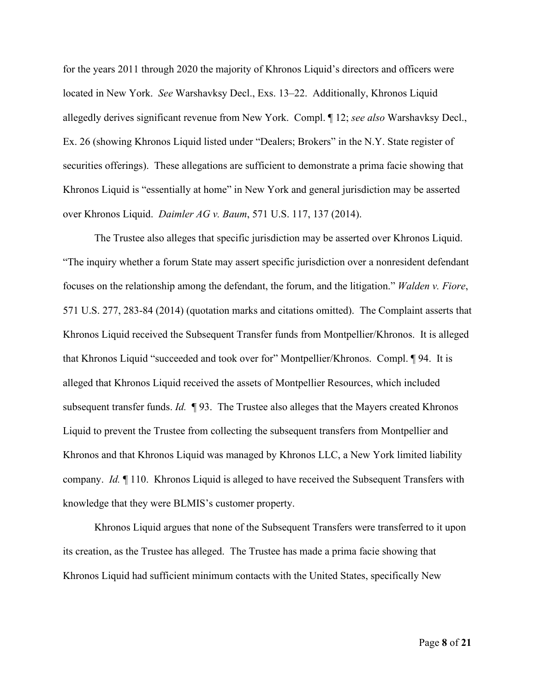for the years 2011 through 2020 the majority of Khronos Liquid's directors and officers were located in New York. *See* Warshavksy Decl., Exs. 13–22. Additionally, Khronos Liquid allegedly derives significant revenue from New York. Compl. ¶ 12; *see also* Warshavksy Decl., Ex. 26 (showing Khronos Liquid listed under "Dealers; Brokers" in the N.Y. State register of securities offerings). These allegations are sufficient to demonstrate a prima facie showing that Khronos Liquid is "essentially at home" in New York and general jurisdiction may be asserted over Khronos Liquid. *Daimler AG v. Baum*, 571 U.S. 117, 137 (2014).

The Trustee also alleges that specific jurisdiction may be asserted over Khronos Liquid. "The inquiry whether a forum State may assert specific jurisdiction over a nonresident defendant focuses on the relationship among the defendant, the forum, and the litigation." *Walden v. Fiore*, 571 U.S. 277, 283-84 (2014) (quotation marks and citations omitted). The Complaint asserts that Khronos Liquid received the Subsequent Transfer funds from Montpellier/Khronos. It is alleged that Khronos Liquid "succeeded and took over for" Montpellier/Khronos. Compl. ¶ 94. It is alleged that Khronos Liquid received the assets of Montpellier Resources, which included subsequent transfer funds. *Id.* ¶ 93. The Trustee also alleges that the Mayers created Khronos Liquid to prevent the Trustee from collecting the subsequent transfers from Montpellier and Khronos and that Khronos Liquid was managed by Khronos LLC, a New York limited liability company. *Id.* ¶ 110. Khronos Liquid is alleged to have received the Subsequent Transfers with knowledge that they were BLMIS's customer property.

<span id="page-7-0"></span>Khronos Liquid argues that none of the Subsequent Transfers were transferred to it upon its creation, as the Trustee has alleged. The Trustee has made a prima facie showing that Khronos Liquid had sufficient minimum contacts with the United States, specifically New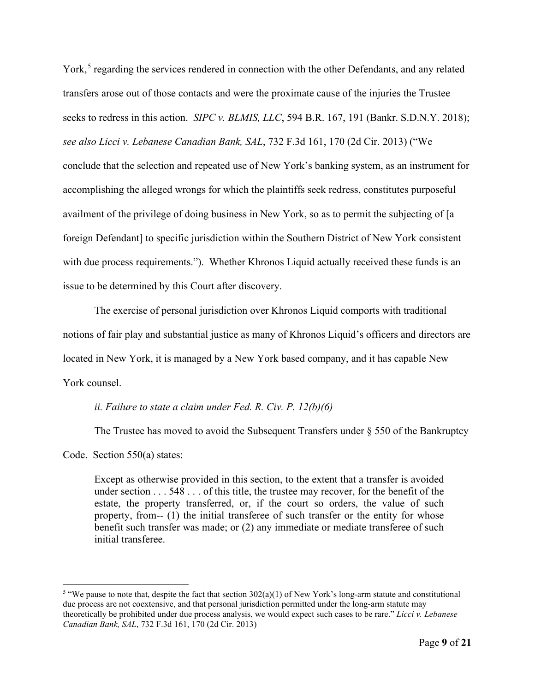York,<sup>[5](#page-7-0)</sup> regarding the services rendered in connection with the other Defendants, and any related transfers arose out of those contacts and were the proximate cause of the injuries the Trustee seeks to redress in this action. *SIPC v. BLMIS, LLC*, 594 B.R. 167, 191 (Bankr. S.D.N.Y. 2018); *see also Licci v. Lebanese Canadian Bank, SAL*, 732 F.3d 161, 170 (2d Cir. 2013) ("We conclude that the selection and repeated use of New York's banking system, as an instrument for accomplishing the alleged wrongs for which the plaintiffs seek redress, constitutes purposeful availment of the privilege of doing business in New York, so as to permit the subjecting of [a foreign Defendant] to specific jurisdiction within the Southern District of New York consistent with due process requirements."). Whether Khronos Liquid actually received these funds is an issue to be determined by this Court after discovery.

The exercise of personal jurisdiction over Khronos Liquid comports with traditional notions of fair play and substantial justice as many of Khronos Liquid's officers and directors are located in New York, it is managed by a New York based company, and it has capable New York counsel.

#### *ii. Failure to state a claim under Fed. R. Civ. P. 12(b)(6)*

The Trustee has moved to avoid the Subsequent Transfers under  $\S$  550 of the Bankruptcy

Code. Section 550(a) states:

Except as otherwise provided in this section, to the extent that a transfer is avoided under section . . . 548 . . . of this title, the trustee may recover, for the benefit of the estate, the property transferred, or, if the court so orders, the value of such property, from-- (1) the initial transferee of such transfer or the entity for whose benefit such transfer was made; or (2) any immediate or mediate transferee of such initial transferee.

<sup>&</sup>lt;sup>5</sup> "We pause to note that, despite the fact that section  $302(a)(1)$  of New York's long-arm statute and constitutional due process are not coextensive, and that personal jurisdiction permitted under the long-arm statute may theoretically be prohibited under due process analysis, we would expect such cases to be rare." *Licci v. Lebanese Canadian Bank, SAL*, 732 F.3d 161, 170 (2d Cir. 2013)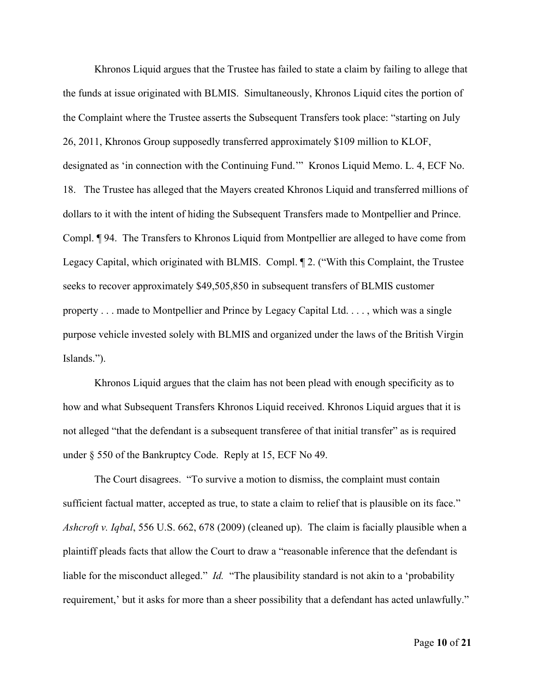Khronos Liquid argues that the Trustee has failed to state a claim by failing to allege that the funds at issue originated with BLMIS. Simultaneously, Khronos Liquid cites the portion of the Complaint where the Trustee asserts the Subsequent Transfers took place: "starting on July 26, 2011, Khronos Group supposedly transferred approximately \$109 million to KLOF, designated as 'in connection with the Continuing Fund.'" Kronos Liquid Memo. L. 4, ECF No. 18. The Trustee has alleged that the Mayers created Khronos Liquid and transferred millions of dollars to it with the intent of hiding the Subsequent Transfers made to Montpellier and Prince. Compl. ¶ 94. The Transfers to Khronos Liquid from Montpellier are alleged to have come from Legacy Capital, which originated with BLMIS. Compl. ¶ 2. ("With this Complaint, the Trustee seeks to recover approximately \$49,505,850 in subsequent transfers of BLMIS customer property . . . made to Montpellier and Prince by Legacy Capital Ltd. . . . , which was a single purpose vehicle invested solely with BLMIS and organized under the laws of the British Virgin Islands.").

Khronos Liquid argues that the claim has not been plead with enough specificity as to how and what Subsequent Transfers Khronos Liquid received. Khronos Liquid argues that it is not alleged "that the defendant is a subsequent transferee of that initial transfer" as is required under § 550 of the Bankruptcy Code. Reply at 15, ECF No 49.

The Court disagrees. "To survive a motion to dismiss, the complaint must contain sufficient factual matter, accepted as true, to state a claim to relief that is plausible on its face." *Ashcroft v. Iqbal*, 556 U.S. 662, 678 (2009) (cleaned up). The claim is facially plausible when a plaintiff pleads facts that allow the Court to draw a "reasonable inference that the defendant is liable for the misconduct alleged." *Id.* "The plausibility standard is not akin to a 'probability requirement,' but it asks for more than a sheer possibility that a defendant has acted unlawfully."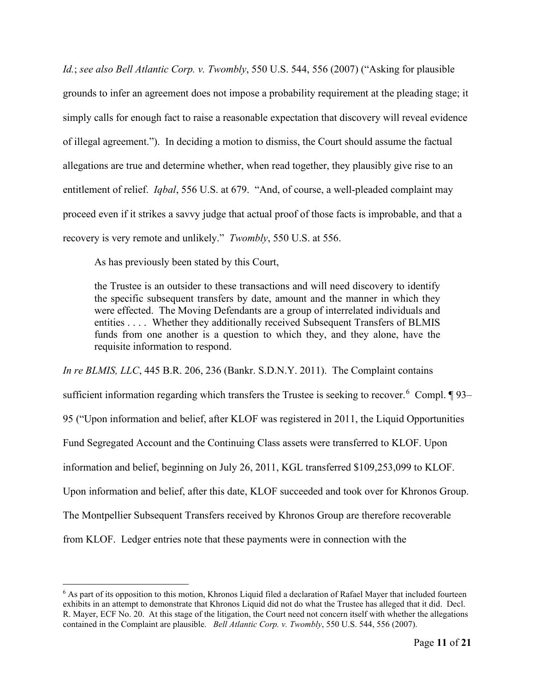*Id.*; *see also Bell Atlantic Corp. v. Twombly*, 550 U.S. 544, 556 (2007) ("Asking for plausible grounds to infer an agreement does not impose a probability requirement at the pleading stage; it simply calls for enough fact to raise a reasonable expectation that discovery will reveal evidence of illegal agreement."). In deciding a motion to dismiss, the Court should assume the factual allegations are true and determine whether, when read together, they plausibly give rise to an entitlement of relief. *Iqbal*, 556 U.S. at 679. "And, of course, a well-pleaded complaint may proceed even if it strikes a savvy judge that actual proof of those facts is improbable, and that a recovery is very remote and unlikely." *Twombly*, 550 U.S. at 556.

As has previously been stated by this Court,

the Trustee is an outsider to these transactions and will need discovery to identify the specific subsequent transfers by date, amount and the manner in which they were effected. The Moving Defendants are a group of interrelated individuals and entities . . . . Whether they additionally received Subsequent Transfers of BLMIS funds from one another is a question to which they, and they alone, have the requisite information to respond.

*In re BLMIS, LLC*, 445 B.R. 206, 236 (Bankr. S.D.N.Y. 2011). The Complaint contains sufficient information regarding which transfers the Trustee is seeking to recover.<sup>[6](#page-10-0)</sup> Compl. 193– 95 ("Upon information and belief, after KLOF was registered in 2011, the Liquid Opportunities Fund Segregated Account and the Continuing Class assets were transferred to KLOF. Upon information and belief, beginning on July 26, 2011, KGL transferred \$109,253,099 to KLOF. Upon information and belief, after this date, KLOF succeeded and took over for Khronos Group. The Montpellier Subsequent Transfers received by Khronos Group are therefore recoverable from KLOF. Ledger entries note that these payments were in connection with the

<span id="page-10-0"></span><sup>&</sup>lt;sup>6</sup> As part of its opposition to this motion, Khronos Liquid filed a declaration of Rafael Mayer that included fourteen exhibits in an attempt to demonstrate that Khronos Liquid did not do what the Trustee has alleged that it did. Decl. R. Mayer, ECF No. 20. At this stage of the litigation, the Court need not concern itself with whether the allegations contained in the Complaint are plausible. *Bell Atlantic Corp. v. Twombly*, 550 U.S. 544, 556 (2007).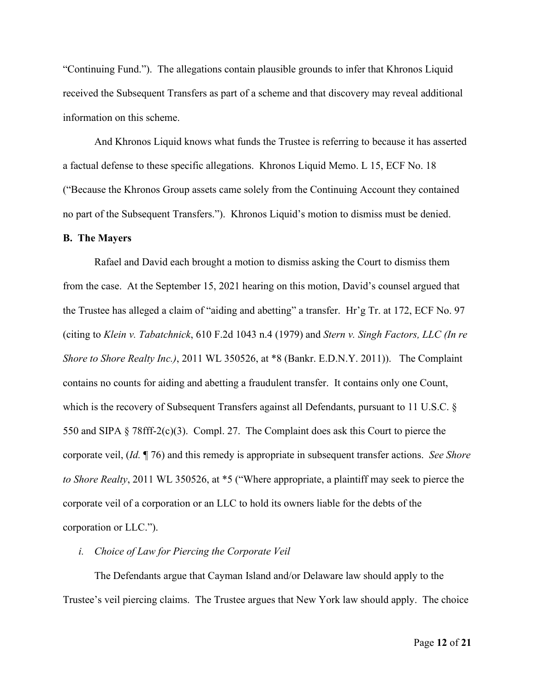"Continuing Fund."). The allegations contain plausible grounds to infer that Khronos Liquid received the Subsequent Transfers as part of a scheme and that discovery may reveal additional information on this scheme.

And Khronos Liquid knows what funds the Trustee is referring to because it has asserted a factual defense to these specific allegations. Khronos Liquid Memo. L 15, ECF No. 18 ("Because the Khronos Group assets came solely from the Continuing Account they contained no part of the Subsequent Transfers."). Khronos Liquid's motion to dismiss must be denied.

#### **B. The Mayers**

Rafael and David each brought a motion to dismiss asking the Court to dismiss them from the case. At the September 15, 2021 hearing on this motion, David's counsel argued that the Trustee has alleged a claim of "aiding and abetting" a transfer. Hr'g Tr. at 172, ECF No. 97 (citing to *Klein v. Tabatchnick*, 610 F.2d 1043 n.4 (1979) and *Stern v. Singh Factors, LLC (In re Shore to Shore Realty Inc.)*, 2011 WL 350526, at \*8 (Bankr. E.D.N.Y. 2011)). The Complaint contains no counts for aiding and abetting a fraudulent transfer. It contains only one Count, which is the recovery of Subsequent Transfers against all Defendants, pursuant to 11 U.S.C. § 550 and SIPA § 78fff-2(c)(3). Compl. 27. The Complaint does ask this Court to pierce the corporate veil, (*Id.* ¶ 76) and this remedy is appropriate in subsequent transfer actions. *See Shore to Shore Realty*, 2011 WL 350526, at \*5 ("Where appropriate, a plaintiff may seek to pierce the corporate veil of a corporation or an LLC to hold its owners liable for the debts of the corporation or LLC.").

*i. Choice of Law for Piercing the Corporate Veil*

The Defendants argue that Cayman Island and/or Delaware law should apply to the Trustee's veil piercing claims. The Trustee argues that New York law should apply. The choice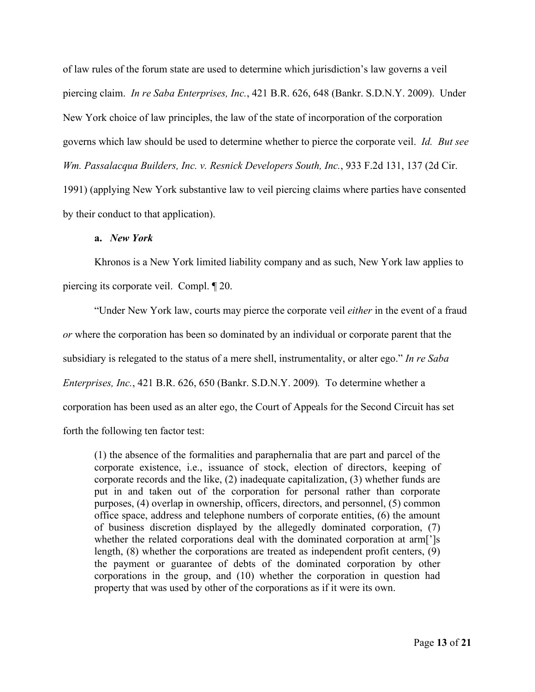of law rules of the forum state are used to determine which jurisdiction's law governs a veil piercing claim. *In re Saba Enterprises, Inc.*, 421 B.R. 626, 648 (Bankr. S.D.N.Y. 2009). Under New York choice of law principles, the law of the state of incorporation of the corporation governs which law should be used to determine whether to pierce the corporate veil. *Id. But see Wm. Passalacqua Builders, Inc. v. Resnick Developers South, Inc.*, 933 F.2d 131, 137 (2d Cir. 1991) (applying New York substantive law to veil piercing claims where parties have consented by their conduct to that application).

### **a.** *New York*

Khronos is a New York limited liability company and as such, New York law applies to piercing its corporate veil. Compl. ¶ 20.

"Under New York law, courts may pierce the corporate veil *either* in the event of a fraud *or* where the corporation has been so dominated by an individual or corporate parent that the subsidiary is relegated to the status of a mere shell, instrumentality, or alter ego." *In re Saba Enterprises, Inc.*, 421 B.R. 626, 650 (Bankr. S.D.N.Y. 2009)*.* To determine whether a corporation has been used as an alter ego, the Court of Appeals for the Second Circuit has set forth the following ten factor test:

(1) the absence of the formalities and paraphernalia that are part and parcel of the corporate existence, i.e., issuance of stock, election of directors, keeping of corporate records and the like, (2) inadequate capitalization, (3) whether funds are put in and taken out of the corporation for personal rather than corporate purposes, (4) overlap in ownership, officers, directors, and personnel, (5) common office space, address and telephone numbers of corporate entities, (6) the amount of business discretion displayed by the allegedly dominated corporation, (7) whether the related corporations deal with the dominated corporation at arm<sup>[']</sup>s length, (8) whether the corporations are treated as independent profit centers, (9) the payment or guarantee of debts of the dominated corporation by other corporations in the group, and (10) whether the corporation in question had property that was used by other of the corporations as if it were its own.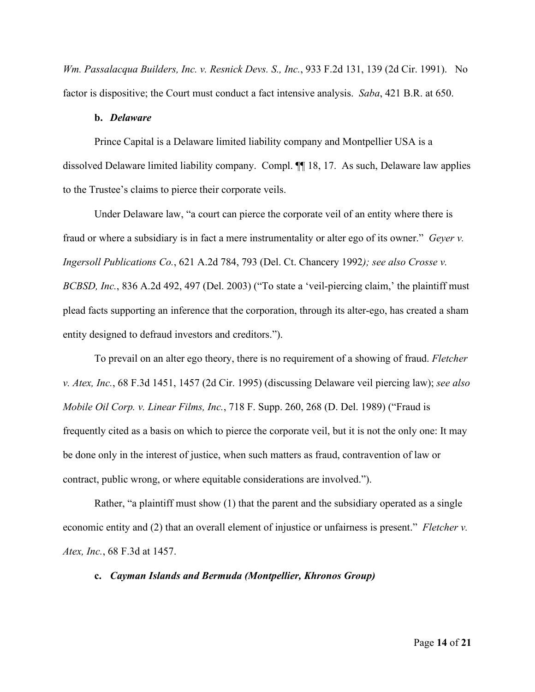*Wm. Passalacqua Builders, Inc. v. Resnick Devs. S., Inc.*, 933 F.2d 131, 139 (2d Cir. 1991). No factor is dispositive; the Court must conduct a fact intensive analysis. *Saba*, 421 B.R. at 650.

## **b.** *Delaware*

Prince Capital is a Delaware limited liability company and Montpellier USA is a dissolved Delaware limited liability company. Compl. ¶¶ 18, 17. As such, Delaware law applies to the Trustee's claims to pierce their corporate veils.

Under Delaware law, "a court can pierce the corporate veil of an entity where there is fraud or where a subsidiary is in fact a mere instrumentality or alter ego of its owner." *Geyer v. Ingersoll Publications Co.*, 621 A.2d 784, 793 (Del. Ct. Chancery 1992*); see also Crosse v. BCBSD, Inc.*, 836 A.2d 492, 497 (Del. 2003) ("To state a 'veil-piercing claim,' the plaintiff must plead facts supporting an inference that the corporation, through its alter-ego, has created a sham entity designed to defraud investors and creditors.").

To prevail on an alter ego theory, there is no requirement of a showing of fraud. *Fletcher v. Atex, Inc.*, 68 F.3d 1451, 1457 (2d Cir. 1995) (discussing Delaware veil piercing law); *see also Mobile Oil Corp. v. Linear Films, Inc.*, 718 F. Supp. 260, 268 (D. Del. 1989) ("Fraud is frequently cited as a basis on which to pierce the corporate veil, but it is not the only one: It may be done only in the interest of justice, when such matters as fraud, contravention of law or contract, public wrong, or where equitable considerations are involved.").

Rather, "a plaintiff must show (1) that the parent and the subsidiary operated as a single economic entity and (2) that an overall element of injustice or unfairness is present." *Fletcher v. Atex, Inc.*, 68 F.3d at 1457.

### **c.** *Cayman Islands and Bermuda (Montpellier, Khronos Group)*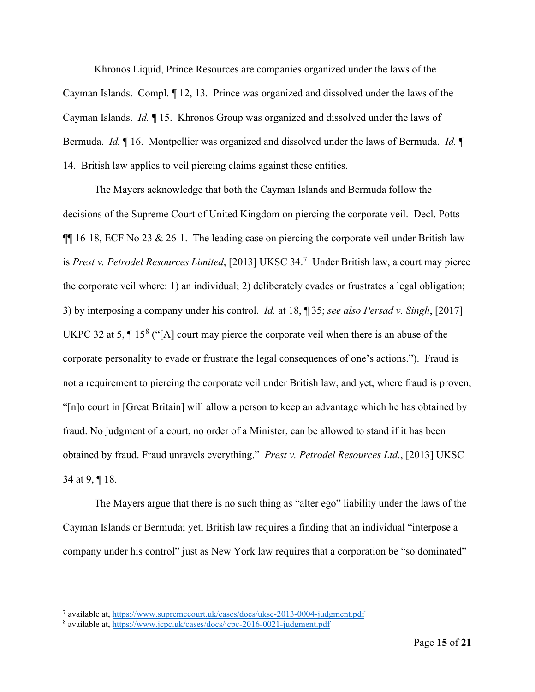Khronos Liquid, Prince Resources are companies organized under the laws of the Cayman Islands. Compl. ¶ 12, 13. Prince was organized and dissolved under the laws of the Cayman Islands. *Id.* ¶ 15. Khronos Group was organized and dissolved under the laws of Bermuda. *Id.* ¶ 16. Montpellier was organized and dissolved under the laws of Bermuda. *Id.* ¶ 14. British law applies to veil piercing claims against these entities.

The Mayers acknowledge that both the Cayman Islands and Bermuda follow the decisions of the Supreme Court of United Kingdom on piercing the corporate veil. Decl. Potts  $\P$ [16-18, ECF No 23 & 26-1. The leading case on piercing the corporate veil under British law is *Prest v. Petrodel Resources Limited*, [2013] UKSC 34.[7](#page-14-0) Under British law, a court may pierce the corporate veil where: 1) an individual; 2) deliberately evades or frustrates a legal obligation; 3) by interposing a company under his control. *Id.* at 18, ¶ 35; *see also Persad v. Singh*, [2017] UKPC 32 at 5,  $\P$  15<sup>[8](#page-14-1)</sup> ("[A] court may pierce the corporate veil when there is an abuse of the corporate personality to evade or frustrate the legal consequences of one's actions."). Fraud is not a requirement to piercing the corporate veil under British law, and yet, where fraud is proven, "[n]o court in [Great Britain] will allow a person to keep an advantage which he has obtained by fraud. No judgment of a court, no order of a Minister, can be allowed to stand if it has been obtained by fraud. Fraud unravels everything." *Prest v. Petrodel Resources Ltd.*, [2013] UKSC 34 at 9, ¶ 18.

The Mayers argue that there is no such thing as "alter ego" liability under the laws of the Cayman Islands or Bermuda; yet, British law requires a finding that an individual "interpose a company under his control" just as New York law requires that a corporation be "so dominated"

<span id="page-14-0"></span><sup>7</sup> available at[, https://www.supremecourt.uk/cases/docs/uksc-2013-0004-judgment.pdf](https://www.supremecourt.uk/cases/docs/uksc-2013-0004-judgment.pdf)

<span id="page-14-1"></span><sup>8</sup> available at[, https://www.jcpc.uk/cases/docs/jcpc-2016-0021-judgment.pdf](https://www.jcpc.uk/cases/docs/jcpc-2016-0021-judgment.pdf)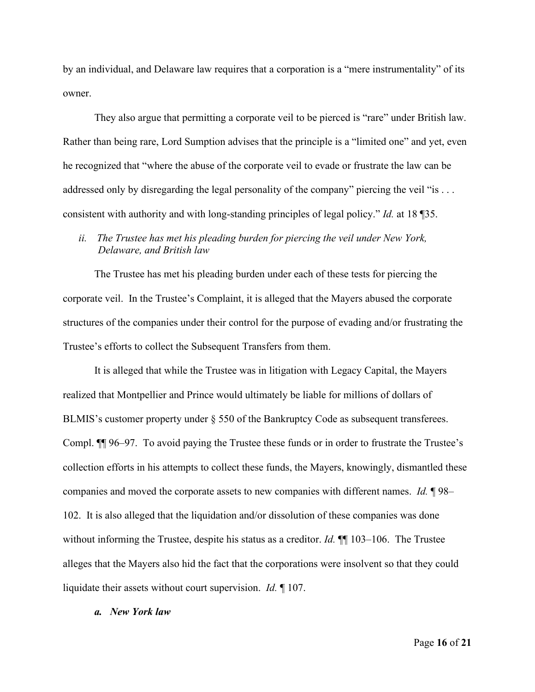by an individual, and Delaware law requires that a corporation is a "mere instrumentality" of its owner.

They also argue that permitting a corporate veil to be pierced is "rare" under British law. Rather than being rare, Lord Sumption advises that the principle is a "limited one" and yet, even he recognized that "where the abuse of the corporate veil to evade or frustrate the law can be addressed only by disregarding the legal personality of the company" piercing the veil "is . . . consistent with authority and with long-standing principles of legal policy." *Id.* at 18 ¶35.

# *ii. The Trustee has met his pleading burden for piercing the veil under New York, Delaware, and British law*

The Trustee has met his pleading burden under each of these tests for piercing the corporate veil. In the Trustee's Complaint, it is alleged that the Mayers abused the corporate structures of the companies under their control for the purpose of evading and/or frustrating the Trustee's efforts to collect the Subsequent Transfers from them.

It is alleged that while the Trustee was in litigation with Legacy Capital, the Mayers realized that Montpellier and Prince would ultimately be liable for millions of dollars of BLMIS's customer property under § 550 of the Bankruptcy Code as subsequent transferees. Compl. ¶¶ 96–97. To avoid paying the Trustee these funds or in order to frustrate the Trustee's collection efforts in his attempts to collect these funds, the Mayers, knowingly, dismantled these companies and moved the corporate assets to new companies with different names. *Id.* ¶ 98– 102. It is also alleged that the liquidation and/or dissolution of these companies was done without informing the Trustee, despite his status as a creditor. *Id.* ¶¶ 103–106. The Trustee alleges that the Mayers also hid the fact that the corporations were insolvent so that they could liquidate their assets without court supervision. *Id.* ¶ 107.

## *a. New York law*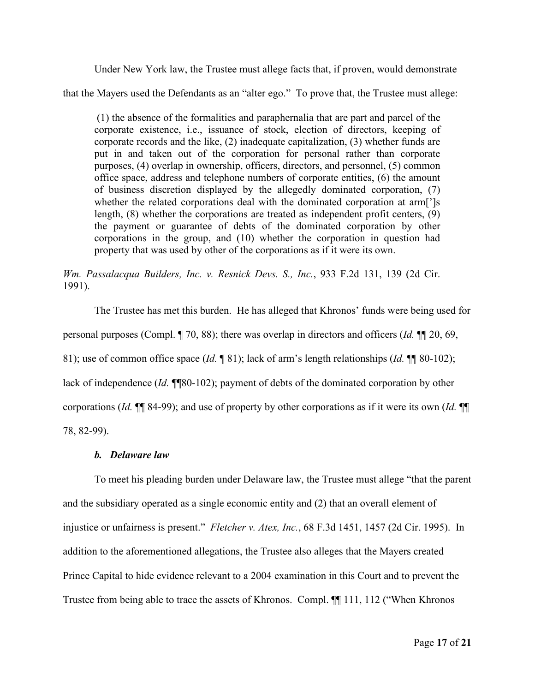Under New York law, the Trustee must allege facts that, if proven, would demonstrate

that the Mayers used the Defendants as an "alter ego." To prove that, the Trustee must allege:

(1) the absence of the formalities and paraphernalia that are part and parcel of the corporate existence, i.e., issuance of stock, election of directors, keeping of corporate records and the like, (2) inadequate capitalization, (3) whether funds are put in and taken out of the corporation for personal rather than corporate purposes, (4) overlap in ownership, officers, directors, and personnel, (5) common office space, address and telephone numbers of corporate entities, (6) the amount of business discretion displayed by the allegedly dominated corporation, (7) whether the related corporations deal with the dominated corporation at arm[']s length, (8) whether the corporations are treated as independent profit centers, (9) the payment or guarantee of debts of the dominated corporation by other corporations in the group, and (10) whether the corporation in question had property that was used by other of the corporations as if it were its own.

*Wm. Passalacqua Builders, Inc. v. Resnick Devs. S., Inc.*, 933 F.2d 131, 139 (2d Cir. 1991).

The Trustee has met this burden. He has alleged that Khronos' funds were being used for personal purposes (Compl. ¶ 70, 88); there was overlap in directors and officers (*Id.* ¶¶ 20, 69, 81); use of common office space (*Id.* ¶ 81); lack of arm's length relationships (*Id.* ¶¶ 80-102); lack of independence (*Id.* ¶¶80-102); payment of debts of the dominated corporation by other corporations (*Id.* ¶¶ 84-99); and use of property by other corporations as if it were its own (*Id.* ¶¶ 78, 82-99).

## *b. Delaware law*

To meet his pleading burden under Delaware law, the Trustee must allege "that the parent and the subsidiary operated as a single economic entity and (2) that an overall element of injustice or unfairness is present." *Fletcher v. Atex, Inc.*, 68 F.3d 1451, 1457 (2d Cir. 1995). In addition to the aforementioned allegations, the Trustee also alleges that the Mayers created Prince Capital to hide evidence relevant to a 2004 examination in this Court and to prevent the Trustee from being able to trace the assets of Khronos. Compl. ¶¶ 111, 112 ("When Khronos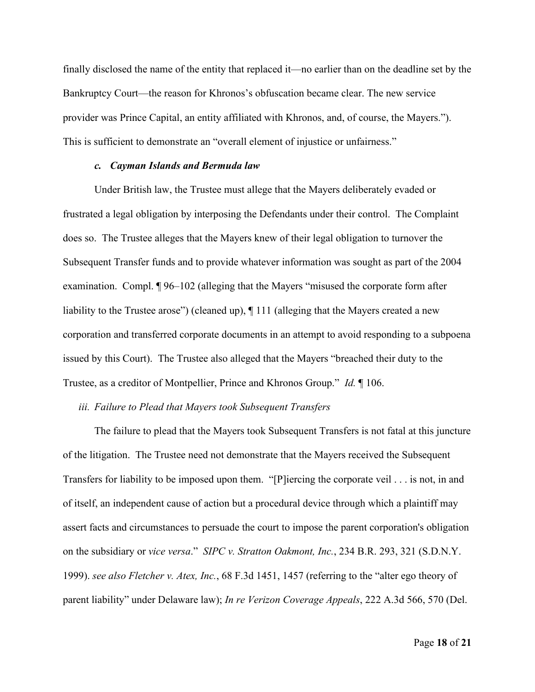finally disclosed the name of the entity that replaced it—no earlier than on the deadline set by the Bankruptcy Court—the reason for Khronos's obfuscation became clear. The new service provider was Prince Capital, an entity affiliated with Khronos, and, of course, the Mayers."). This is sufficient to demonstrate an "overall element of injustice or unfairness."

#### *c. Cayman Islands and Bermuda law*

Under British law, the Trustee must allege that the Mayers deliberately evaded or frustrated a legal obligation by interposing the Defendants under their control. The Complaint does so. The Trustee alleges that the Mayers knew of their legal obligation to turnover the Subsequent Transfer funds and to provide whatever information was sought as part of the 2004 examination. Compl. ¶ 96–102 (alleging that the Mayers "misused the corporate form after liability to the Trustee arose") (cleaned up), ¶ 111 (alleging that the Mayers created a new corporation and transferred corporate documents in an attempt to avoid responding to a subpoena issued by this Court). The Trustee also alleged that the Mayers "breached their duty to the Trustee, as a creditor of Montpellier, Prince and Khronos Group." *Id.* ¶ 106.

## *iii. Failure to Plead that Mayers took Subsequent Transfers*

The failure to plead that the Mayers took Subsequent Transfers is not fatal at this juncture of the litigation. The Trustee need not demonstrate that the Mayers received the Subsequent Transfers for liability to be imposed upon them. "[P]iercing the corporate veil . . . is not, in and of itself, an independent cause of action but a procedural device through which a plaintiff may assert facts and circumstances to persuade the court to impose the parent corporation's obligation on the subsidiary or *vice versa*." *SIPC v. Stratton Oakmont, Inc.*, 234 B.R. 293, 321 (S.D.N.Y. 1999). *see also Fletcher v. Atex, Inc.*, 68 F.3d 1451, 1457 (referring to the "alter ego theory of parent liability" under Delaware law); *In re Verizon Coverage Appeals*, 222 A.3d 566, 570 (Del.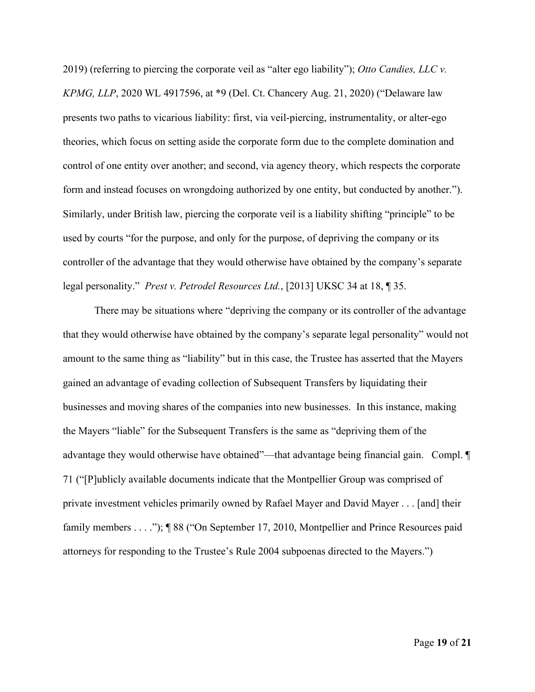2019) (referring to piercing the corporate veil as "alter ego liability"); *Otto Candies, LLC v. KPMG, LLP*, 2020 WL 4917596, at \*9 (Del. Ct. Chancery Aug. 21, 2020) ("Delaware law presents two paths to vicarious liability: first, via veil-piercing, instrumentality, or alter-ego theories, which focus on setting aside the corporate form due to the complete domination and control of one entity over another; and second, via agency theory, which respects the corporate form and instead focuses on wrongdoing authorized by one entity, but conducted by another."). Similarly, under British law, piercing the corporate veil is a liability shifting "principle" to be used by courts "for the purpose, and only for the purpose, of depriving the company or its controller of the advantage that they would otherwise have obtained by the company's separate legal personality." *Prest v. Petrodel Resources Ltd.*, [2013] UKSC 34 at 18, ¶ 35.

There may be situations where "depriving the company or its controller of the advantage that they would otherwise have obtained by the company's separate legal personality" would not amount to the same thing as "liability" but in this case, the Trustee has asserted that the Mayers gained an advantage of evading collection of Subsequent Transfers by liquidating their businesses and moving shares of the companies into new businesses. In this instance, making the Mayers "liable" for the Subsequent Transfers is the same as "depriving them of the advantage they would otherwise have obtained"—that advantage being financial gain. Compl. ¶ 71 ("[P]ublicly available documents indicate that the Montpellier Group was comprised of private investment vehicles primarily owned by Rafael Mayer and David Mayer . . . [and] their family members . . . .");  $\P$  88 ("On September 17, 2010, Montpellier and Prince Resources paid attorneys for responding to the Trustee's Rule 2004 subpoenas directed to the Mayers.")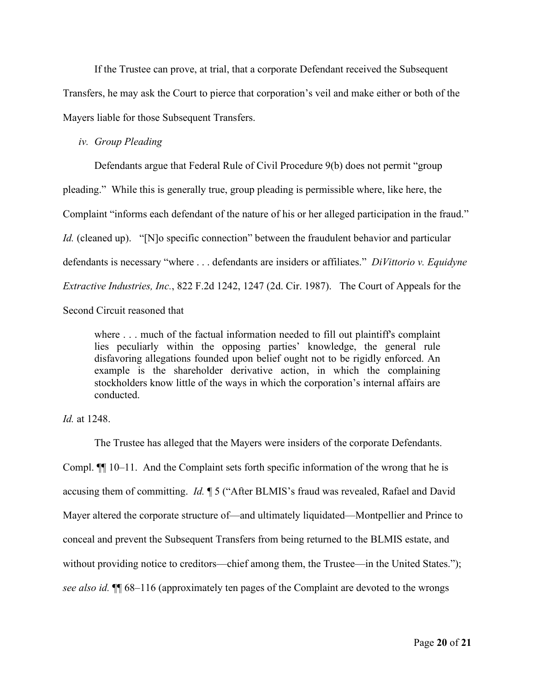If the Trustee can prove, at trial, that a corporate Defendant received the Subsequent Transfers, he may ask the Court to pierce that corporation's veil and make either or both of the Mayers liable for those Subsequent Transfers.

### *iv. Group Pleading*

Defendants argue that Federal Rule of Civil Procedure 9(b) does not permit "group pleading." While this is generally true, group pleading is permissible where, like here, the Complaint "informs each defendant of the nature of his or her alleged participation in the fraud." *Id.* (cleaned up). "[N]o specific connection" between the fraudulent behavior and particular defendants is necessary "where . . . defendants are insiders or affiliates." *DiVittorio v. Equidyne Extractive Industries, Inc.*, 822 F.2d 1242, 1247 (2d. Cir. 1987). The Court of Appeals for the Second Circuit reasoned that

where ... much of the factual information needed to fill out plaintiff's complaint lies peculiarly within the opposing parties' knowledge, the general rule disfavoring allegations founded upon belief ought not to be rigidly enforced. An example is the shareholder derivative action, in which the complaining stockholders know little of the ways in which the corporation's internal affairs are conducted.

*Id.* at 1248.

The Trustee has alleged that the Mayers were insiders of the corporate Defendants. Compl. ¶¶ 10–11. And the Complaint sets forth specific information of the wrong that he is accusing them of committing. *Id.* ¶ 5 ("After BLMIS's fraud was revealed, Rafael and David Mayer altered the corporate structure of—and ultimately liquidated—Montpellier and Prince to conceal and prevent the Subsequent Transfers from being returned to the BLMIS estate, and without providing notice to creditors—chief among them, the Trustee—in the United States."); *see also id.* ¶¶ 68–116 (approximately ten pages of the Complaint are devoted to the wrongs